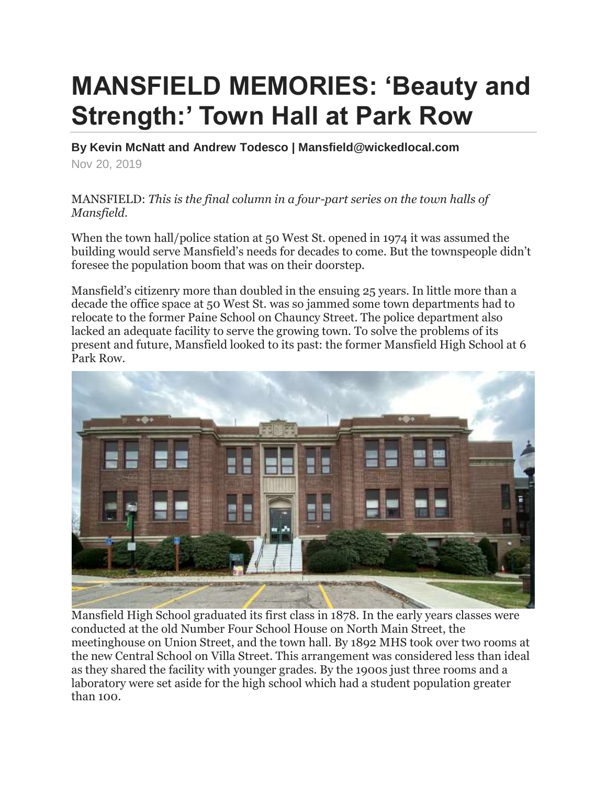## **MANSFIELD MEMORIES: 'Beauty and Strength:' Town Hall at Park Row**

**By Kevin McNatt and Andrew Todesco | Mansfield@wickedlocal.com** Nov 20, 2019

MANSFIELD: *This is the final column in a four-part series on the town halls of Mansfield.*

When the town hall/police station at 50 West St. opened in 1974 it was assumed the building would serve Mansfield's needs for decades to come. But the townspeople didn't foresee the population boom that was on their doorstep.

Mansfield's citizenry more than doubled in the ensuing 25 years. In little more than a decade the office space at 50 West St. was so jammed some town departments had to relocate to the former Paine School on Chauncy Street. The police department also lacked an adequate facility to serve the growing town. To solve the problems of its present and future, Mansfield looked to its past: the former Mansfield High School at 6 Park Row.



Mansfield High School graduated its first class in 1878. In the early years classes were conducted at the old Number Four School House on North Main Street, the meetinghouse on Union Street, and the town hall. By 1892 MHS took over two rooms at the new Central School on Villa Street. This arrangement was considered less than ideal as they shared the facility with younger grades. By the 1900s just three rooms and a laboratory were set aside for the high school which had a student population greater than 100.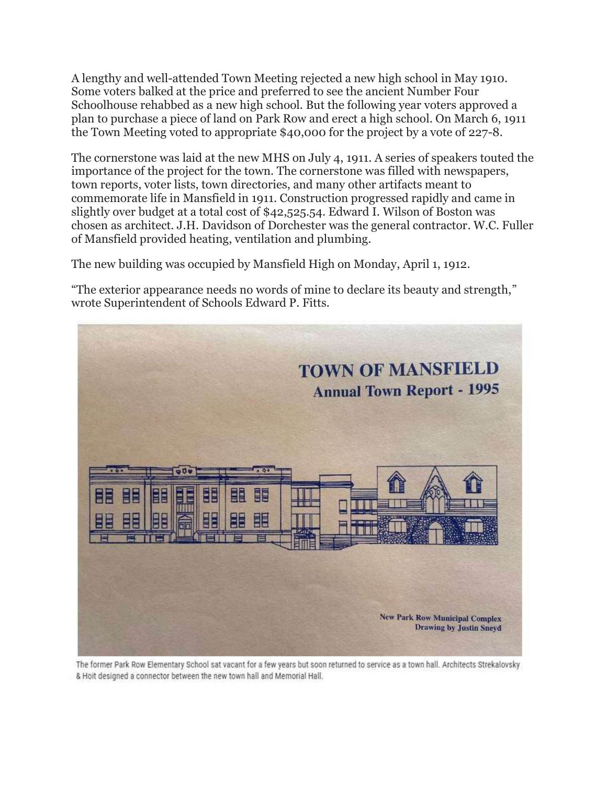A lengthy and well-attended Town Meeting rejected a new high school in May 1910. Some voters balked at the price and preferred to see the ancient Number Four Schoolhouse rehabbed as a new high school. But the following year voters approved a plan to purchase a piece of land on Park Row and erect a high school. On March 6, 1911 the Town Meeting voted to appropriate \$40,000 for the project by a vote of 227-8.

The cornerstone was laid at the new MHS on July 4, 1911. A series of speakers touted the importance of the project for the town. The cornerstone was filled with newspapers, town reports, voter lists, town directories, and many other artifacts meant to commemorate life in Mansfield in 1911. Construction progressed rapidly and came in slightly over budget at a total cost of \$42,525.54. Edward I. Wilson of Boston was chosen as architect. J.H. Davidson of Dorchester was the general contractor. W.C. Fuller of Mansfield provided heating, ventilation and plumbing.

The new building was occupied by Mansfield High on Monday, April 1, 1912.

"The exterior appearance needs no words of mine to declare its beauty and strength," wrote Superintendent of Schools Edward P. Fitts.



The former Park Row Elementary School sat vacant for a few years but soon returned to service as a town hall. Architects Strekalovsky & Hoit designed a connector between the new town hall and Memorial Hall.